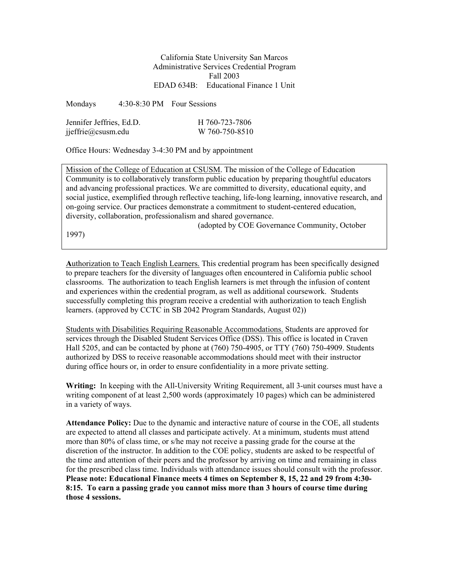California State University San Marcos Administrative Services Credential Program Fall 2003 EDAD 634B: Educational Finance 1 Unit

Mondays 4:30-8:30 PM Four Sessions

| Jennifer Jeffries, Ed.D. | H 760-723-7806 |
|--------------------------|----------------|
| jjeffrie@csusm.edu       | W 760-750-8510 |

Office Hours: Wednesday 3-4:30 PM and by appointment

Mission of the College of Education at CSUSM. The mission of the College of Education Community is to collaboratively transform public education by preparing thoughtful educators and advancing professional practices. We are committed to diversity, educational equity, and social justice, exemplified through reflective teaching, life-long learning, innovative research, and on-going service. Our practices demonstrate a commitment to student-centered education, diversity, collaboration, professionalism and shared governance.

1997)

**A**uthorization to Teach English Learners. This credential program has been specifically designed to prepare teachers for the diversity of languages often encountered in California public school

(adopted by COE Governance Community, October

classrooms. The authorization to teach English learners is met through the infusion of content and experiences within the credential program, as well as additional coursework. Students successfully completing this program receive a credential with authorization to teach English learners. (approved by CCTC in SB 2042 Program Standards, August 02))

Students with Disabilities Requiring Reasonable Accommodations. Students are approved for services through the Disabled Student Services Office (DSS). This office is located in Craven Hall 5205, and can be contacted by phone at (760) 750-4905, or TTY (760) 750-4909. Students authorized by DSS to receive reasonable accommodations should meet with their instructor during office hours or, in order to ensure confidentiality in a more private setting.

**Writing:** In keeping with the All-University Writing Requirement, all 3-unit courses must have a writing component of at least 2,500 words (approximately 10 pages) which can be administered in a variety of ways.

**Attendance Policy:** Due to the dynamic and interactive nature of course in the COE, all students are expected to attend all classes and participate actively. At a minimum, students must attend more than 80% of class time, or s/he may not receive a passing grade for the course at the discretion of the instructor. In addition to the COE policy, students are asked to be respectful of the time and attention of their peers and the professor by arriving on time and remaining in class for the prescribed class time. Individuals with attendance issues should consult with the professor. **Please note: Educational Finance meets 4 times on September 8, 15, 22 and 29 from 4:30- 8:15. To earn a passing grade you cannot miss more than 3 hours of course time during those 4 sessions.**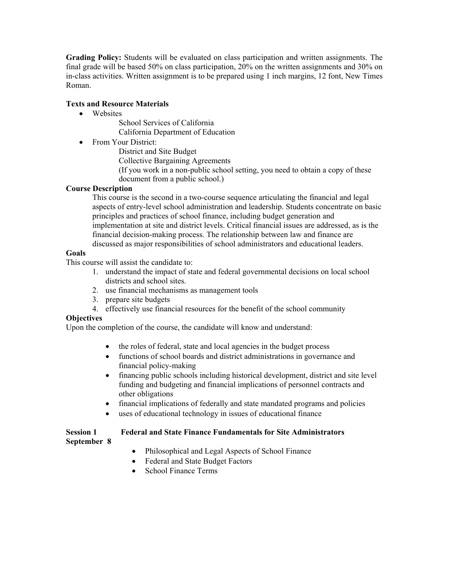**Grading Policy:** Students will be evaluated on class participation and written assignments. The final grade will be based 50% on class participation, 20% on the written assignments and 30% on in-class activities. Written assignment is to be prepared using 1 inch margins, 12 font, New Times Roman.

## **Texts and Resource Materials**

- Websites
	- School Services of California California Department of Education
- From Your District:
	- District and Site Budget
	- Collective Bargaining Agreements
	- (If you work in a non-public school setting, you need to obtain a copy of these document from a public school.)

### **Course Description**

This course is the second in a two-course sequence articulating the financial and legal aspects of entry-level school administration and leadership. Students concentrate on basic principles and practices of school finance, including budget generation and implementation at site and district levels. Critical financial issues are addressed, as is the financial decision-making process. The relationship between law and finance are discussed as major responsibilities of school administrators and educational leaders.

## **Goals**

This course will assist the candidate to:

- 1. understand the impact of state and federal governmental decisions on local school districts and school sites.
- 2. use financial mechanisms as management tools
- 3. prepare site budgets
- 4. effectively use financial resources for the benefit of the school community

### **Objectives**

Upon the completion of the course, the candidate will know and understand:

- the roles of federal, state and local agencies in the budget process
- functions of school boards and district administrations in governance and financial policy-making
- financing public schools including historical development, district and site level funding and budgeting and financial implications of personnel contracts and other obligations
- financial implications of federally and state mandated programs and policies
- uses of educational technology in issues of educational finance

## **Session 1 Federal and State Finance Fundamentals for Site Administrators**

## **September 8**

- Philosophical and Legal Aspects of School Finance
- Federal and State Budget Factors
- School Finance Terms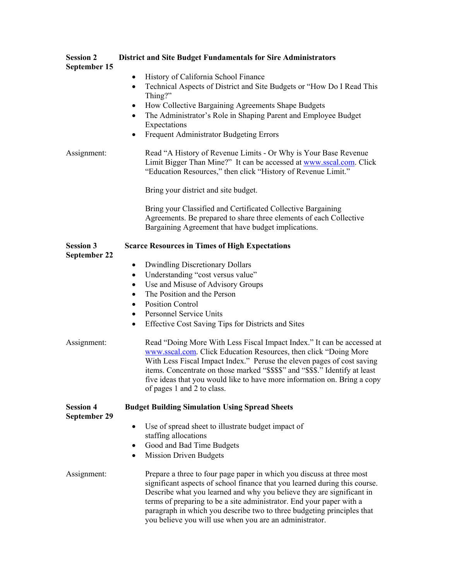| <b>Session 2</b><br>September 15 | <b>District and Site Budget Fundamentals for Sire Administrators</b>                                                                                                                                                                                                                                                                                                                                                                      |  |
|----------------------------------|-------------------------------------------------------------------------------------------------------------------------------------------------------------------------------------------------------------------------------------------------------------------------------------------------------------------------------------------------------------------------------------------------------------------------------------------|--|
|                                  | History of California School Finance<br>$\bullet$<br>Technical Aspects of District and Site Budgets or "How Do I Read This<br>$\bullet$<br>Thing?"<br>How Collective Bargaining Agreements Shape Budgets<br>٠<br>The Administrator's Role in Shaping Parent and Employee Budget<br>٠<br>Expectations<br>Frequent Administrator Budgeting Errors<br>٠                                                                                      |  |
| Assignment:                      | Read "A History of Revenue Limits - Or Why is Your Base Revenue<br>Limit Bigger Than Mine?" It can be accessed at www.sscal.com. Click<br>"Education Resources," then click "History of Revenue Limit."                                                                                                                                                                                                                                   |  |
|                                  | Bring your district and site budget.                                                                                                                                                                                                                                                                                                                                                                                                      |  |
|                                  | Bring your Classified and Certificated Collective Bargaining<br>Agreements. Be prepared to share three elements of each Collective<br>Bargaining Agreement that have budget implications.                                                                                                                                                                                                                                                 |  |
| <b>Session 3</b><br>September 22 | <b>Scarce Resources in Times of High Expectations</b>                                                                                                                                                                                                                                                                                                                                                                                     |  |
|                                  | <b>Dwindling Discretionary Dollars</b><br>٠<br>Understanding "cost versus value"<br>$\bullet$<br>Use and Misuse of Advisory Groups<br>$\bullet$<br>The Position and the Person<br>$\bullet$<br><b>Position Control</b><br>$\bullet$<br><b>Personnel Service Units</b><br>$\bullet$<br>Effective Cost Saving Tips for Districts and Sites<br>$\bullet$                                                                                     |  |
| Assignment:                      | Read "Doing More With Less Fiscal Impact Index." It can be accessed at<br>www.sscal.com. Click Education Resources, then click "Doing More<br>With Less Fiscal Impact Index." Peruse the eleven pages of cost saving<br>items. Concentrate on those marked "\$\$\$\$" and "\$\$\$." Identify at least<br>five ideas that you would like to have more information on. Bring a copy<br>of pages 1 and 2 to class.                           |  |
| <b>Session 4</b><br>September 29 | <b>Budget Building Simulation Using Spread Sheets</b>                                                                                                                                                                                                                                                                                                                                                                                     |  |
|                                  | Use of spread sheet to illustrate budget impact of<br>staffing allocations<br>Good and Bad Time Budgets<br>٠<br><b>Mission Driven Budgets</b><br>٠                                                                                                                                                                                                                                                                                        |  |
| Assignment:                      | Prepare a three to four page paper in which you discuss at three most<br>significant aspects of school finance that you learned during this course.<br>Describe what you learned and why you believe they are significant in<br>terms of preparing to be a site administrator. End your paper with a<br>paragraph in which you describe two to three budgeting principles that<br>you believe you will use when you are an administrator. |  |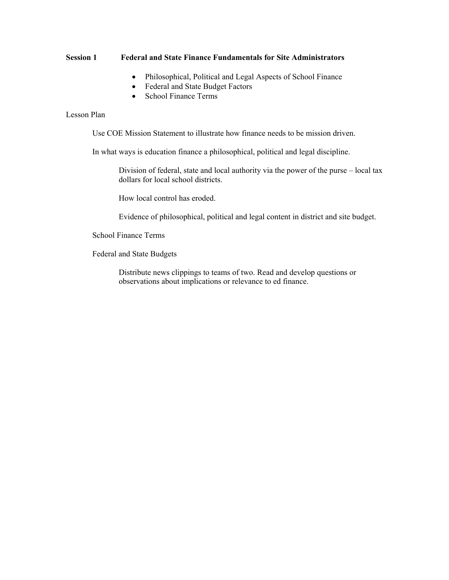### **Session 1 Federal and State Finance Fundamentals for Site Administrators**

- Philosophical, Political and Legal Aspects of School Finance
- Federal and State Budget Factors
- School Finance Terms

### Lesson Plan

Use COE Mission Statement to illustrate how finance needs to be mission driven.

In what ways is education finance a philosophical, political and legal discipline.

Division of federal, state and local authority via the power of the purse – local tax dollars for local school districts.

How local control has eroded.

Evidence of philosophical, political and legal content in district and site budget.

School Finance Terms

Federal and State Budgets

Distribute news clippings to teams of two. Read and develop questions or observations about implications or relevance to ed finance.